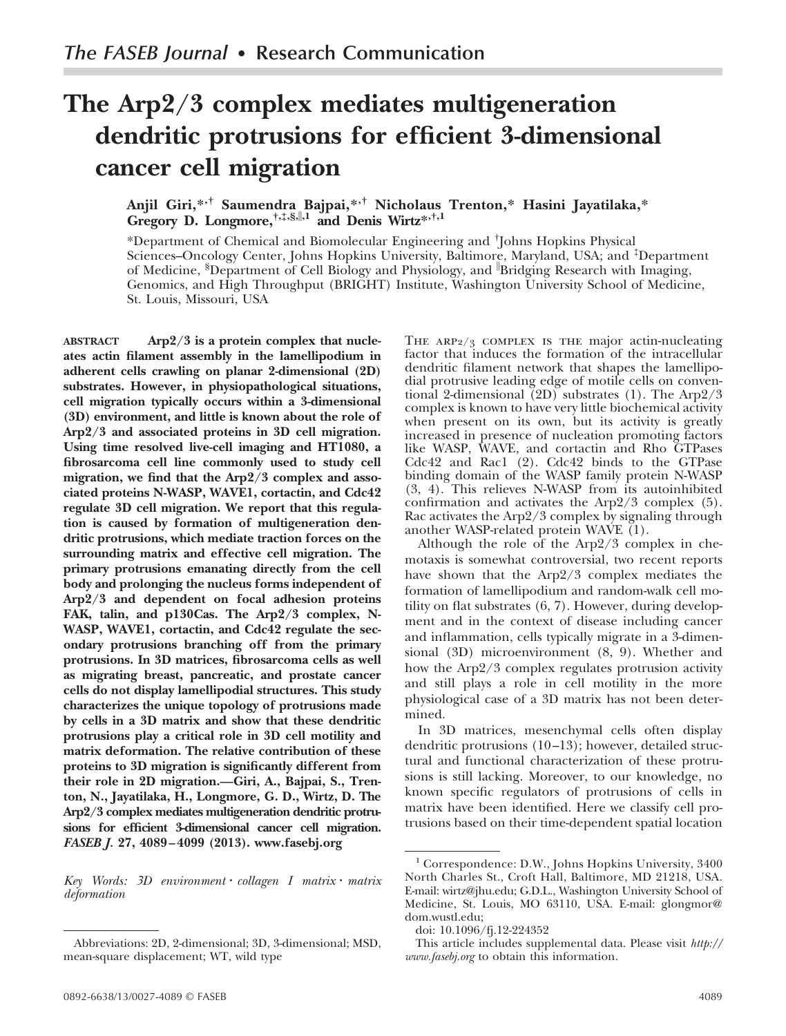# **The Arp2/3 complex mediates multigeneration dendritic protrusions for efficient 3-dimensional cancer cell migration**

# **Anjil Giri,\*,† Saumendra Bajpai,\*,† Nicholaus Trenton,\* Hasini Jayatilaka,\* Gregory D. Longmore,†,‡,§,,1 and Denis Wirtz\*,†,1**

\*Department of Chemical and Biomolecular Engineering and † Johns Hopkins Physical Sciences–Oncology Center, Johns Hopkins University, Baltimore, Maryland, USA; and ‡Department of Medicine, §Department of Cell Biology and Physiology, and Bridging Research with Imaging, Genomics, and High Throughput (BRIGHT) Institute, Washington University School of Medicine, St. Louis, Missouri, USA

**ABSTRACT Arp2/3 is a protein complex that nucleates actin filament assembly in the lamellipodium in adherent cells crawling on planar 2-dimensional (2D) substrates. However, in physiopathological situations, cell migration typically occurs within a 3-dimensional (3D) environment, and little is known about the role of Arp2/3 and associated proteins in 3D cell migration. Using time resolved live-cell imaging and HT1080, a fibrosarcoma cell line commonly used to study cell migration, we find that the Arp2/3 complex and associated proteins N-WASP, WAVE1, cortactin, and Cdc42 regulate 3D cell migration. We report that this regulation is caused by formation of multigeneration dendritic protrusions, which mediate traction forces on the surrounding matrix and effective cell migration. The primary protrusions emanating directly from the cell body and prolonging the nucleus forms independent of Arp2/3 and dependent on focal adhesion proteins FAK, talin, and p130Cas. The Arp2/3 complex, N-WASP, WAVE1, cortactin, and Cdc42 regulate the secondary protrusions branching off from the primary protrusions. In 3D matrices, fibrosarcoma cells as well as migrating breast, pancreatic, and prostate cancer cells do not display lamellipodial structures. This study characterizes the unique topology of protrusions made by cells in a 3D matrix and show that these dendritic protrusions play a critical role in 3D cell motility and matrix deformation. The relative contribution of these proteins to 3D migration is significantly different from their role in 2D migration.—Giri, A., Bajpai, S., Trenton, N., Jayatilaka, H., Longmore, G. D., Wirtz, D. The Arp2/3 complex mediates multigeneration dendritic protrusions for efficient 3-dimensional cancer cell migration.** *FASEB J.* **27, 4089–4099 (2013). www.fasebj.org**

*Key Words: 3D environment collagen I matrix matrix deformation*

THE ARP $2/3$  COMPLEX IS THE major actin-nucleating factor that induces the formation of the intracellular dendritic filament network that shapes the lamellipodial protrusive leading edge of motile cells on conventional 2-dimensional  $(2D)$  substrates (1). The Arp2/3 complex is known to have very little biochemical activity when present on its own, but its activity is greatly increased in presence of nucleation promoting factors like WASP, WAVE, and cortactin and Rho GTPases Cdc42 and Rac1 (2). Cdc42 binds to the GTPase binding domain of the WASP family protein N-WASP (3, 4). This relieves N-WASP from its autoinhibited confirmation and activates the Arp2/3 complex (5). Rac activates the Arp2/3 complex by signaling through another WASP-related protein WAVE (1).

Although the role of the Arp2/3 complex in chemotaxis is somewhat controversial, two recent reports have shown that the Arp2/3 complex mediates the formation of lamellipodium and random-walk cell motility on flat substrates (6, 7). However, during development and in the context of disease including cancer and inflammation, cells typically migrate in a 3-dimensional (3D) microenvironment (8, 9). Whether and how the Arp2/3 complex regulates protrusion activity and still plays a role in cell motility in the more physiological case of a 3D matrix has not been determined.

In 3D matrices, mesenchymal cells often display dendritic protrusions (10 –13); however, detailed structural and functional characterization of these protrusions is still lacking. Moreover, to our knowledge, no known specific regulators of protrusions of cells in matrix have been identified. Here we classify cell protrusions based on their time-dependent spatial location

Abbreviations: 2D, 2-dimensional; 3D, 3-dimensional; MSD, mean-square displacement; WT, wild type

<sup>&</sup>lt;sup>1</sup> Correspondence: D.W., Johns Hopkins University, 3400 North Charles St., Croft Hall, Baltimore, MD 21218, USA. E-mail: [wirtz@jhu.edu;](mailto%3Awirtz@jhu.edu) G.D.L., Washington University School of Medicine, St. Louis, MO 63110, USA. E-mail: [glongmor@](mailto%3Aglongmor@dom.wustl.edu) [dom.wustl.edu;](mailto%3Aglongmor@dom.wustl.edu)

doi: 10.1096/fj.12-224352

This article includes supplemental data. Please visit *[http://](http://www.fasebj.org) [www.fasebj.org](http://www.fasebj.org)* to obtain this information.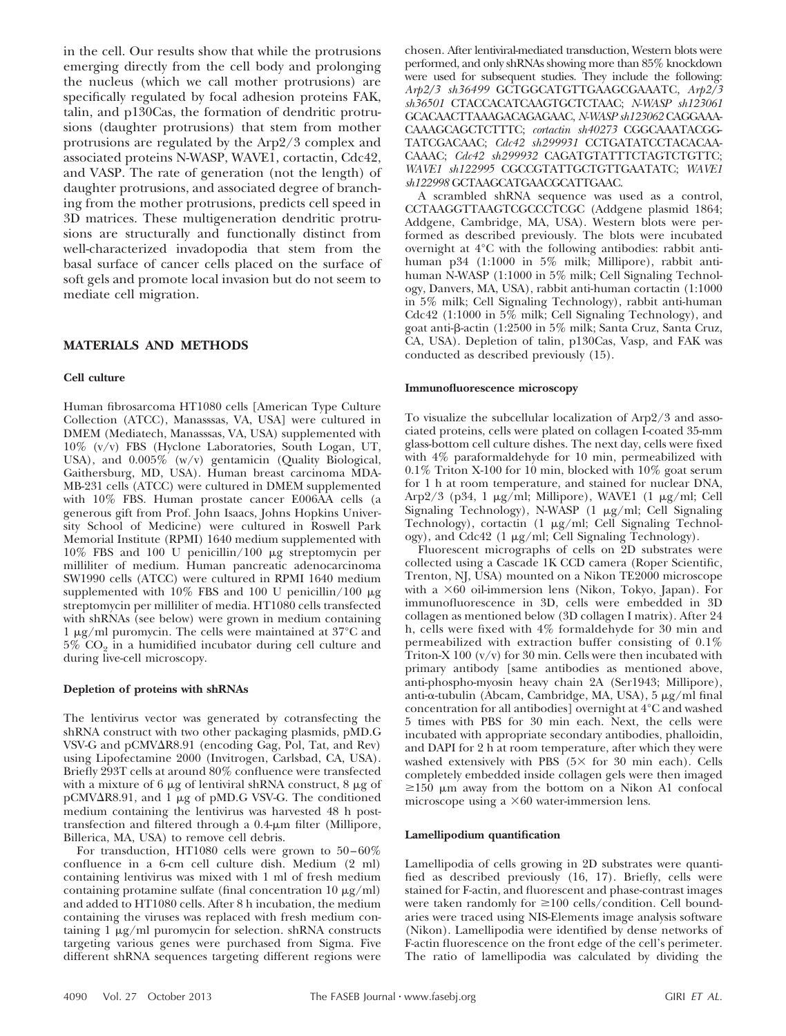in the cell. Our results show that while the protrusions emerging directly from the cell body and prolonging the nucleus (which we call mother protrusions) are specifically regulated by focal adhesion proteins FAK, talin, and p130Cas, the formation of dendritic protrusions (daughter protrusions) that stem from mother protrusions are regulated by the Arp2/3 complex and associated proteins N-WASP, WAVE1, cortactin, Cdc42, and VASP. The rate of generation (not the length) of daughter protrusions, and associated degree of branching from the mother protrusions, predicts cell speed in 3D matrices. These multigeneration dendritic protrusions are structurally and functionally distinct from well-characterized invadopodia that stem from the basal surface of cancer cells placed on the surface of soft gels and promote local invasion but do not seem to mediate cell migration.

# **MATERIALS AND METHODS**

#### **Cell culture**

Human fibrosarcoma HT1080 cells [American Type Culture Collection (ATCC), Manasssas, VA, USA] were cultured in DMEM (Mediatech, Manasssas, VA, USA) supplemented with 10% (v/v) FBS (Hyclone Laboratories, South Logan, UT, USA), and 0.005% (w/v) gentamicin (Quality Biological, Gaithersburg, MD, USA). Human breast carcinoma MDA-MB-231 cells (ATCC) were cultured in DMEM supplemented with 10% FBS. Human prostate cancer E006AA cells (a generous gift from Prof. John Isaacs, Johns Hopkins University School of Medicine) were cultured in Roswell Park Memorial Institute (RPMI) 1640 medium supplemented with 10% FBS and 100 U penicillin/100 µg streptomycin per milliliter of medium. Human pancreatic adenocarcinoma SW1990 cells (ATCC) were cultured in RPMI 1640 medium supplemented with 10% FBS and 100 U penicillin/100  $\mu$ g streptomycin per milliliter of media. HT1080 cells transfected with shRNAs (see below) were grown in medium containing 1  $\mu$ g/ml puromycin. The cells were maintained at 37°C and  $5\%$   $\mathrm{CO}_2$  in a humidified incubator during cell culture and during live-cell microscopy.

#### **Depletion of proteins with shRNAs**

The lentivirus vector was generated by cotransfecting the shRNA construct with two other packaging plasmids, pMD.G VSV-G and pCMV $\Delta$ R8.91 (encoding Gag, Pol, Tat, and Rev) using Lipofectamine 2000 (Invitrogen, Carlsbad, CA, USA). Briefly 293T cells at around 80% confluence were transfected with a mixture of 6  $\mu$ g of lentiviral shRNA construct, 8  $\mu$ g of pCMV $\Delta$ R8.91, and 1 µg of pMD.G VSV-G. The conditioned medium containing the lentivirus was harvested 48 h posttransfection and filtered through a 0.4-µm filter (Millipore, Billerica, MA, USA) to remove cell debris.

For transduction, HT1080 cells were grown to  $50-60\%$ confluence in a 6-cm cell culture dish. Medium (2 ml) containing lentivirus was mixed with 1 ml of fresh medium containing protamine sulfate (final concentration  $10 \mu g/ml$ ) and added to HT1080 cells. After 8 h incubation, the medium containing the viruses was replaced with fresh medium containing  $1 \mu g/ml$  puromycin for selection. shRNA constructs targeting various genes were purchased from Sigma. Five different shRNA sequences targeting different regions were chosen. After lentiviral-mediated transduction, Western blots were performed, and only shRNAs showing more than 85% knockdown were used for subsequent studies. They include the following: *Arp2/3 sh36499* GCTGGCATGTTGAAGCGAAATC, *Arp2/3 sh36501* CTACCACATCAAGTGCTCTAAC; *N-WASP sh123061* GCACAACTTAAAGACAGAGAAC, *N-WASP sh123062* CAGGAAA-CAAAGCAGCTCTTTC; *cortactin sh40273* CGGCAAATACGG-TATCGACAAC; *Cdc42 sh299931* CCTGATATCCTACACAA-CAAAC; *Cdc42 sh299932* CAGATGTATTTCTAGTCTGTTC; *WAVE1 sh122995* CGCCGTATTGCTGTTGAATATC; *WAVE1 sh122998* GCTAAGCATGAACGCATTGAAC.

A scrambled shRNA sequence was used as a control, CCTAAGGTTAAGTCGCCCTCGC (Addgene plasmid 1864; Addgene, Cambridge, MA, USA). Western blots were performed as described previously. The blots were incubated overnight at 4°C with the following antibodies: rabbit antihuman p34 (1:1000 in 5% milk; Millipore), rabbit antihuman N-WASP (1:1000 in 5% milk; Cell Signaling Technology, Danvers, MA, USA), rabbit anti-human cortactin (1:1000 in 5% milk; Cell Signaling Technology), rabbit anti-human Cdc42 (1:1000 in 5% milk; Cell Signaling Technology), and goat anti-ß-actin (1:2500 in 5% milk; Santa Cruz, Santa Cruz, CA, USA). Depletion of talin, p130Cas, Vasp, and FAK was conducted as described previously (15).

#### **Immunofluorescence microscopy**

To visualize the subcellular localization of Arp2/3 and associated proteins, cells were plated on collagen I-coated 35-mm glass-bottom cell culture dishes. The next day, cells were fixed with 4% paraformaldehyde for 10 min, permeabilized with 0.1% Triton X-100 for 10 min, blocked with 10% goat serum for 1 h at room temperature, and stained for nuclear DNA, Arp2/3 (p34, 1  $\mu$ g/ml; Millipore), WAVE1 (1  $\mu$ g/ml; Cell Signaling Technology), N-WASP  $(1 \mu g/ml;$  Cell Signaling Technology), cortactin  $(1 \mu g/ml;$  Cell Signaling Technology), and Cdc42 (1  $\mu$ g/ml; Cell Signaling Technology).

Fluorescent micrographs of cells on 2D substrates were collected using a Cascade 1K CCD camera (Roper Scientific, Trenton, NJ, USA) mounted on a Nikon TE2000 microscope with a  $\times 60$  oil-immersion lens (Nikon, Tokyo, Japan). For immunofluorescence in 3D, cells were embedded in 3D collagen as mentioned below (3D collagen I matrix). After 24 h, cells were fixed with 4% formaldehyde for 30 min and permeabilized with extraction buffer consisting of 0.1% Triton-X 100  $(v/v)$  for 30 min. Cells were then incubated with primary antibody [same antibodies as mentioned above, anti-phospho-myosin heavy chain 2A (Ser1943; Millipore), anti- $\alpha$ -tubulin (Abcam, Cambridge, MA, USA), 5 µg/ml final concentration for all antibodies] overnight at 4°C and washed 5 times with PBS for 30 min each. Next, the cells were incubated with appropriate secondary antibodies, phalloidin, and DAPI for 2 h at room temperature, after which they were washed extensively with PBS  $(5 \times$  for 30 min each). Cells completely embedded inside collagen gels were then imaged  $\geq$ 150  $\mu$ m away from the bottom on a Nikon A1 confocal microscope using a  $\times 60$  water-immersion lens.

#### **Lamellipodium quantification**

Lamellipodia of cells growing in 2D substrates were quantified as described previously (16, 17). Briefly, cells were stained for F-actin, and fluorescent and phase-contrast images were taken randomly for  $\geq 100$  cells/condition. Cell boundaries were traced using NIS-Elements image analysis software (Nikon). Lamellipodia were identified by dense networks of F-actin fluorescence on the front edge of the cell's perimeter. The ratio of lamellipodia was calculated by dividing the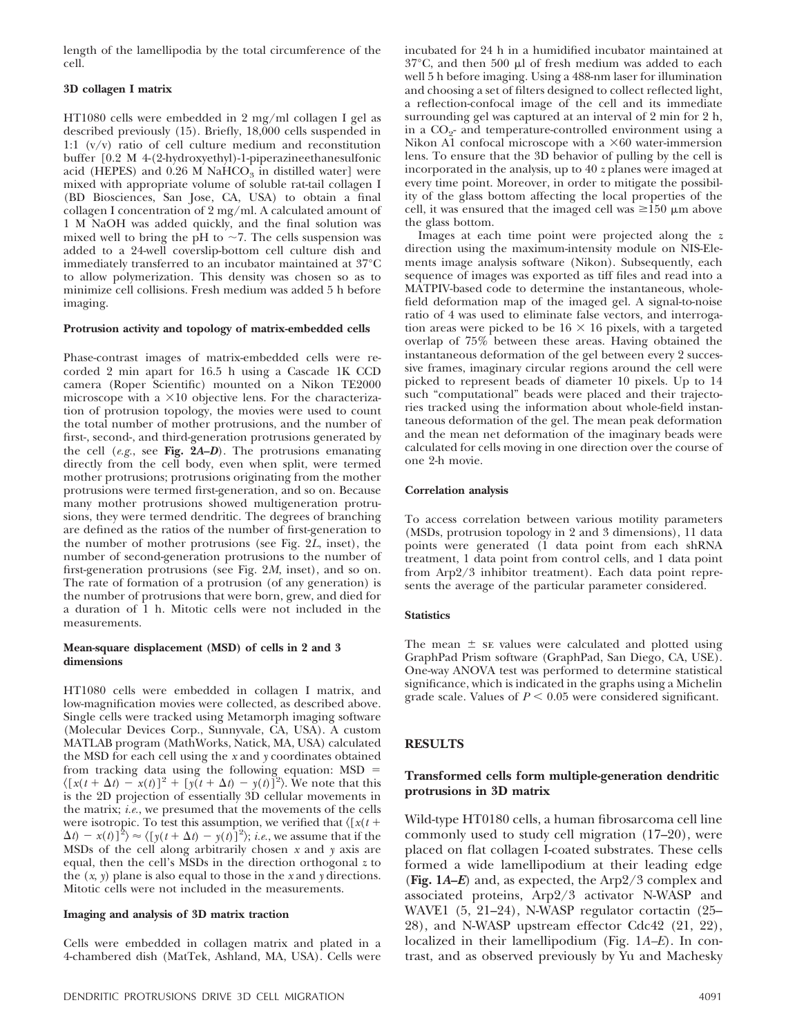length of the lamellipodia by the total circumference of the cell.

## **3D collagen I matrix**

HT1080 cells were embedded in 2 mg/ml collagen I gel as described previously (15). Briefly, 18,000 cells suspended in 1:1 (v/v) ratio of cell culture medium and reconstitution buffer [0.2 M 4-(2-hydroxyethyl)-1-piperazineethanesulfonic acid (HEPES) and  $0.26$  M NaHCO<sub>3</sub> in distilled water] were mixed with appropriate volume of soluble rat-tail collagen I (BD Biosciences, San Jose, CA, USA) to obtain a final collagen I concentration of 2 mg/ml. A calculated amount of 1 M NaOH was added quickly, and the final solution was mixed well to bring the pH to  $\sim$ 7. The cells suspension was added to a 24-well coverslip-bottom cell culture dish and immediately transferred to an incubator maintained at 37°C to allow polymerization. This density was chosen so as to minimize cell collisions. Fresh medium was added 5 h before imaging.

## **Protrusion activity and topology of matrix-embedded cells**

Phase-contrast images of matrix-embedded cells were recorded 2 min apart for 16.5 h using a Cascade 1K CCD camera (Roper Scientific) mounted on a Nikon TE2000 microscope with a  $\times 10$  objective lens. For the characterization of protrusion topology, the movies were used to count the total number of mother protrusions, and the number of first-, second-, and third-generation protrusions generated by the cell (*e.g.*, see **Fig. 2***A–D*). The protrusions emanating directly from the cell body, even when split, were termed mother protrusions; protrusions originating from the mother protrusions were termed first-generation, and so on. Because many mother protrusions showed multigeneration protrusions, they were termed dendritic. The degrees of branching are defined as the ratios of the number of first-generation to the number of mother protrusions (see Fig. 2*L*, inset), the number of second-generation protrusions to the number of first-generation protrusions (see Fig. 2*M*, inset), and so on. The rate of formation of a protrusion (of any generation) is the number of protrusions that were born, grew, and died for a duration of 1 h. Mitotic cells were not included in the measurements.

## **Mean-square displacement (MSD) of cells in 2 and 3 dimensions**

HT1080 cells were embedded in collagen I matrix, and low-magnification movies were collected, as described above. Single cells were tracked using Metamorph imaging software (Molecular Devices Corp., Sunnyvale, CA, USA). A custom MATLAB program (MathWorks, Natick, MA, USA) calculated the MSD for each cell using the *x* and *y* coordinates obtained from tracking data using the following equation: MSD  $\langle [x(t + \Delta t) - x(t)]^2 + [y(t + \Delta t) - y(t)]^2 \rangle$ . We note that this is the 2D projection of essentially 3D cellular movements in the matrix; *i.e.*, we presumed that the movements of the cells were isotropic. To test this assumption, we verified that  $\langle [ \, x(t \, + \,$  $\Delta t$ ) –  $x(t)$ ]<sup>2</sup> $\rangle \approx \langle [y(t + \Delta t) - y(t)]^2 \rangle$ ; *i.e.*, we assume that if the MSDs of the cell along arbitrarily chosen *x* and *y* axis are equal, then the cell's MSDs in the direction orthogonal *z* to the (*x*, *y*) plane is also equal to those in the *x* and *y* directions. Mitotic cells were not included in the measurements.

#### **Imaging and analysis of 3D matrix traction**

Cells were embedded in collagen matrix and plated in a 4-chambered dish (MatTek, Ashland, MA, USA). Cells were incubated for 24 h in a humidified incubator maintained at  $37^{\circ}$ C, and then 500 µl of fresh medium was added to each well 5 h before imaging. Using a 488-nm laser for illumination and choosing a set of filters designed to collect reflected light, a reflection-confocal image of the cell and its immediate surrounding gel was captured at an interval of 2 min for 2 h, in a  $\mathrm{CO}_2$ - and temperature-controlled environment using a Nikon A1 confocal microscope with a  $\times 60$  water-immersion lens. To ensure that the 3D behavior of pulling by the cell is incorporated in the analysis, up to 40 *z* planes were imaged at every time point. Moreover, in order to mitigate the possibility of the glass bottom affecting the local properties of the cell, it was ensured that the imaged cell was  $\geq 150 \mu m$  above the glass bottom.

Images at each time point were projected along the *z* direction using the maximum-intensity module on NIS-Elements image analysis software (Nikon). Subsequently, each sequence of images was exported as tiff files and read into a MATPIV-based code to determine the instantaneous, wholefield deformation map of the imaged gel. A signal-to-noise ratio of 4 was used to eliminate false vectors, and interrogation areas were picked to be  $16 \times 16$  pixels, with a targeted overlap of 75% between these areas. Having obtained the instantaneous deformation of the gel between every 2 successive frames, imaginary circular regions around the cell were picked to represent beads of diameter 10 pixels. Up to 14 such "computational" beads were placed and their trajectories tracked using the information about whole-field instantaneous deformation of the gel. The mean peak deformation and the mean net deformation of the imaginary beads were calculated for cells moving in one direction over the course of one 2-h movie.

#### **Correlation analysis**

To access correlation between various motility parameters (MSDs, protrusion topology in 2 and 3 dimensions), 11 data points were generated (1 data point from each shRNA treatment, 1 data point from control cells, and 1 data point from Arp2/3 inhibitor treatment). Each data point represents the average of the particular parameter considered.

## **Statistics**

The mean  $\pm$  se values were calculated and plotted using GraphPad Prism software (GraphPad, San Diego, CA, USE). One-way ANOVA test was performed to determine statistical significance, which is indicated in the graphs using a Michelin grade scale. Values of  $P \leq 0.05$  were considered significant.

# **RESULTS**

# **Transformed cells form multiple-generation dendritic protrusions in 3D matrix**

Wild-type HT0180 cells, a human fibrosarcoma cell line commonly used to study cell migration (17–20), were placed on flat collagen I-coated substrates. These cells formed a wide lamellipodium at their leading edge (**Fig. 1***A–E*) and, as expected, the Arp2/3 complex and associated proteins, Arp2/3 activator N-WASP and WAVE1 (5, 21–24), N-WASP regulator cortactin (25– 28), and N-WASP upstream effector Cdc42 (21, 22), localized in their lamellipodium (Fig. 1*A–E*). In contrast, and as observed previously by Yu and Machesky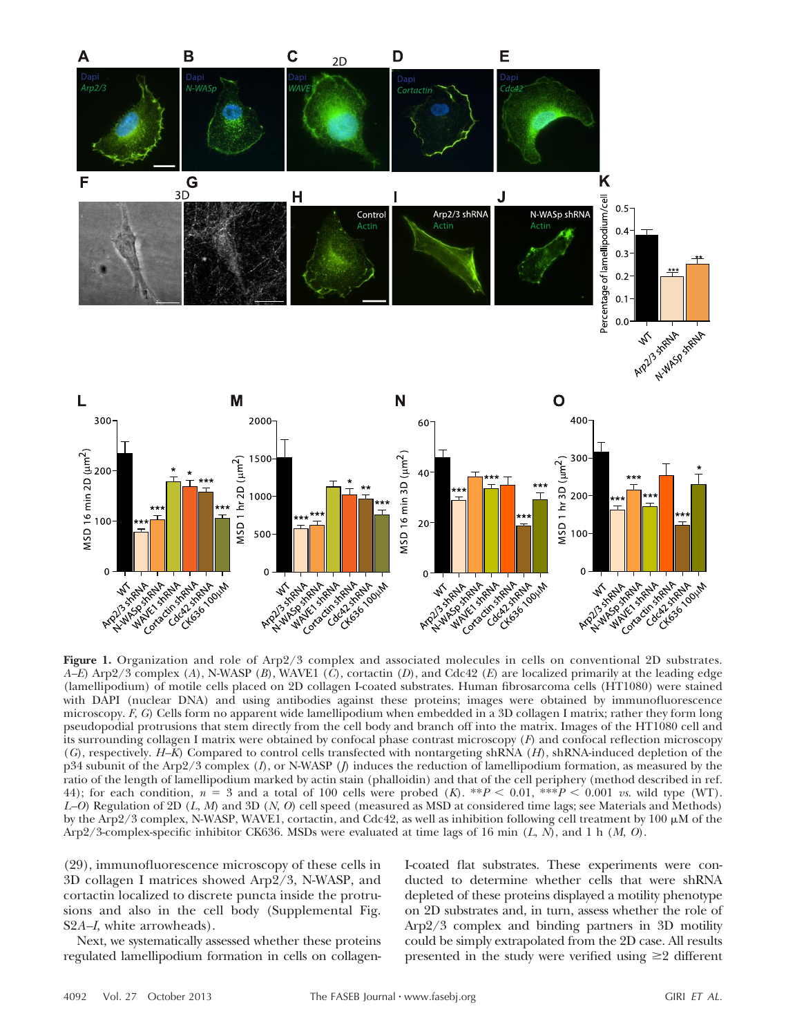

**Figure 1.** Organization and role of Arp2/3 complex and associated molecules in cells on conventional 2D substrates. *A–E*) Arp2/3 complex (*A*), N-WASP (*B*), WAVE1 (*C*), cortactin (*D*), and Cdc42 (*E*) are localized primarily at the leading edge (lamellipodium) of motile cells placed on 2D collagen I-coated substrates. Human fibrosarcoma cells (HT1080) were stained with DAPI (nuclear DNA) and using antibodies against these proteins; images were obtained by immunofluorescence microscopy. *F*, *G*) Cells form no apparent wide lamellipodium when embedded in a 3D collagen I matrix; rather they form long pseudopodial protrusions that stem directly from the cell body and branch off into the matrix. Images of the HT1080 cell and its surrounding collagen I matrix were obtained by confocal phase contrast microscopy (*F*) and confocal reflection microscopy (*G*), respectively. *H–K*) Compared to control cells transfected with nontargeting shRNA (*H*), shRNA-induced depletion of the p34 subunit of the Arp2/3 complex (*I*), or N-WASP (*J*) induces the reduction of lamellipodium formation, as measured by the ratio of the length of lamellipodium marked by actin stain (phalloidin) and that of the cell periphery (method described in ref. 44); for each condition,  $n = 3$  and a total of 100 cells were probed (*K*). \*\**P* < 0.01, \*\*\**P* < 0.001 *vs*. wild type (WT). *L–O*) Regulation of 2D (*L*, *M*) and 3D (*N*, *O*) cell speed (measured as MSD at considered time lags; see Materials and Methods) by the Arp2/3 complex, N-WASP, WAVE1, cortactin, and Cdc42, as well as inhibition following cell treatment by 100  $\mu$ M of the Arp2/3-complex-specific inhibitor CK636. MSDs were evaluated at time lags of 16 min (*L*, *N*), and 1 h (*M*, *O*).

(29), immunofluorescence microscopy of these cells in 3D collagen I matrices showed Arp2/3, N-WASP, and cortactin localized to discrete puncta inside the protrusions and also in the cell body (Supplemental Fig. S2*A–I*, white arrowheads).

Next, we systematically assessed whether these proteins regulated lamellipodium formation in cells on collagen-

I-coated flat substrates. These experiments were conducted to determine whether cells that were shRNA depleted of these proteins displayed a motility phenotype on 2D substrates and, in turn, assess whether the role of Arp2/3 complex and binding partners in 3D motility could be simply extrapolated from the 2D case. All results presented in the study were verified using  $\geq 2$  different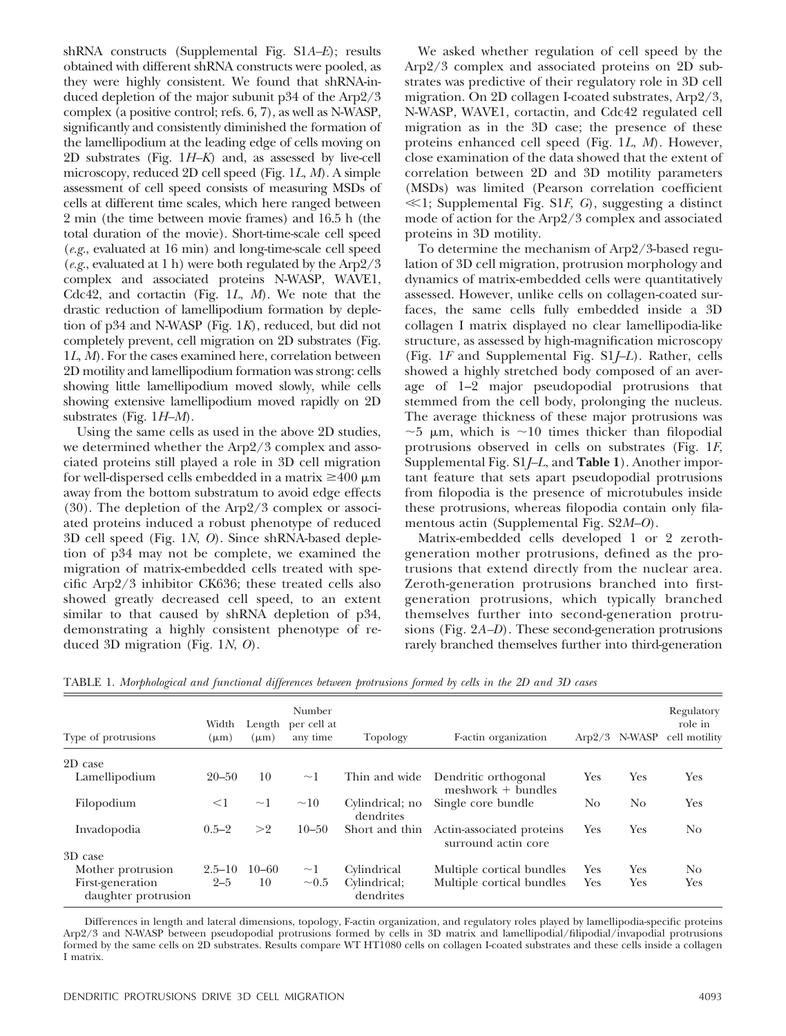shRNA constructs (Supplemental Fig. S1*A–E*); results obtained with different shRNA constructs were pooled, as they were highly consistent. We found that shRNA-induced depletion of the major subunit p34 of the Arp2/3 complex (a positive control; refs. 6, 7), as well as N-WASP, significantly and consistently diminished the formation of the lamellipodium at the leading edge of cells moving on 2D substrates (Fig. 1*H–K*) and, as assessed by live-cell microscopy, reduced 2D cell speed (Fig. 1*L*, *M*). A simple assessment of cell speed consists of measuring MSDs of cells at different time scales, which here ranged between 2 min (the time between movie frames) and 16.5 h (the total duration of the movie). Short-time-scale cell speed (*e.g.*, evaluated at 16 min) and long-time-scale cell speed (*e.g.*, evaluated at 1 h) were both regulated by the Arp2/3 complex and associated proteins N-WASP, WAVE1, Cdc42, and cortactin (Fig. 1*L*, *M*). We note that the drastic reduction of lamellipodium formation by depletion of p34 and N-WASP (Fig. 1*K*), reduced, but did not completely prevent, cell migration on 2D substrates (Fig. 1*L*, *M*). For the cases examined here, correlation between 2D motility and lamellipodium formation was strong: cells showing little lamellipodium moved slowly, while cells showing extensive lamellipodium moved rapidly on 2D substrates (Fig. 1*H–M*).

Using the same cells as used in the above 2D studies, we determined whether the Arp2/3 complex and associated proteins still played a role in 3D cell migration for well-dispersed cells embedded in a matrix  $\geq 400 \mu m$ away from the bottom substratum to avoid edge effects (30). The depletion of the Arp2/3 complex or associated proteins induced a robust phenotype of reduced 3D cell speed (Fig. 1*N*, *O*). Since shRNA-based depletion of p34 may not be complete, we examined the migration of matrix-embedded cells treated with specific Arp2/3 inhibitor CK636; these treated cells also showed greatly decreased cell speed, to an extent similar to that caused by shRNA depletion of p34, demonstrating a highly consistent phenotype of reduced 3D migration (Fig. 1*N*, *O*).

We asked whether regulation of cell speed by the Arp2/3 complex and associated proteins on 2D substrates was predictive of their regulatory role in 3D cell migration. On 2D collagen I-coated substrates, Arp2/3, N-WASP, WAVE1, cortactin, and Cdc42 regulated cell migration as in the 3D case; the presence of these proteins enhanced cell speed (Fig. 1*L*, *M*). However, close examination of the data showed that the extent of correlation between 2D and 3D motility parameters (MSDs) was limited (Pearson correlation coefficient  $\ll$ 1; Supplemental Fig. S1*F*, *G*), suggesting a distinct mode of action for the Arp2/3 complex and associated proteins in 3D motility.

To determine the mechanism of Arp2/3-based regulation of 3D cell migration, protrusion morphology and dynamics of matrix-embedded cells were quantitatively assessed. However, unlike cells on collagen-coated surfaces, the same cells fully embedded inside a 3D collagen I matrix displayed no clear lamellipodia-like structure, as assessed by high-magnification microscopy (Fig. 1*F* and Supplemental Fig. S1*J–L*). Rather, cells showed a highly stretched body composed of an average of 1–2 major pseudopodial protrusions that stemmed from the cell body, prolonging the nucleus. The average thickness of these major protrusions was  $\sim$ 5 µm, which is  $\sim$ 10 times thicker than filopodial protrusions observed in cells on substrates (Fig. 1*F*, Supplemental Fig. S1*J–L*, and **Table 1**). Another important feature that sets apart pseudopodial protrusions from filopodia is the presence of microtubules inside these protrusions, whereas filopodia contain only filamentous actin (Supplemental Fig. S2*M–O*).

Matrix-embedded cells developed 1 or 2 zerothgeneration mother protrusions, defined as the protrusions that extend directly from the nuclear area. Zeroth-generation protrusions branched into firstgeneration protrusions, which typically branched themselves further into second-generation protrusions (Fig. 2*A–D*). These second-generation protrusions rarely branched themselves further into third-generation

| Type of protrusions                     | Width<br>$(\mu m)$ | Length<br>$(\mu m)$ | Number<br>per cell at<br>any time | Topology                     | F-actin organization                             |                | $Arp2/3$ N-WASP | Regulatory<br>role in<br>cell motility |
|-----------------------------------------|--------------------|---------------------|-----------------------------------|------------------------------|--------------------------------------------------|----------------|-----------------|----------------------------------------|
| 2D case                                 |                    |                     |                                   |                              |                                                  |                |                 |                                        |
| Lamellipodium                           | $20 - 50$          | 10                  | $\sim$ 1                          | Thin and wide                | Dendritic orthogonal<br>$meshwork + bundles$     | Yes            | Yes             | Yes                                    |
| Filopodium                              | $<$ 1              | $\sim$ 1            | $\sim\!\!10$                      | Cylindrical; no<br>dendrites | Single core bundle                               | N <sub>0</sub> | No              | Yes                                    |
| Invadopodia                             | $0.5 - 2$          | >2                  | $10 - 50$                         | Short and thin               | Actin-associated proteins<br>surround actin core | Yes            | Yes             | No                                     |
| 3D case                                 |                    |                     |                                   |                              |                                                  |                |                 |                                        |
| Mother protrusion                       | $2.5 - 10$         | $10 - 60$           | $\sim$ 1                          | Cylindrical                  | Multiple cortical bundles                        | Yes            | Yes             | No                                     |
| First-generation<br>daughter protrusion | $2 - 5$            | 10                  | $\sim 0.5$                        | Cylindrical;<br>dendrites    | Multiple cortical bundles                        | Yes            | Yes             | Yes                                    |

TABLE 1. *Morphological and functional differences between protrusions formed by cells in the 2D and 3D cases*

Differences in length and lateral dimensions, topology, F-actin organization, and regulatory roles played by lamellipodia-specific proteins Arp2/3 and N-WASP between pseudopodial protrusions formed by cells in 3D matrix and lamellipodial/filipodial/invapodial protrusions formed by the same cells on 2D substrates. Results compare WT HT1080 cells on collagen I-coated substrates and these cells inside a collagen I matrix.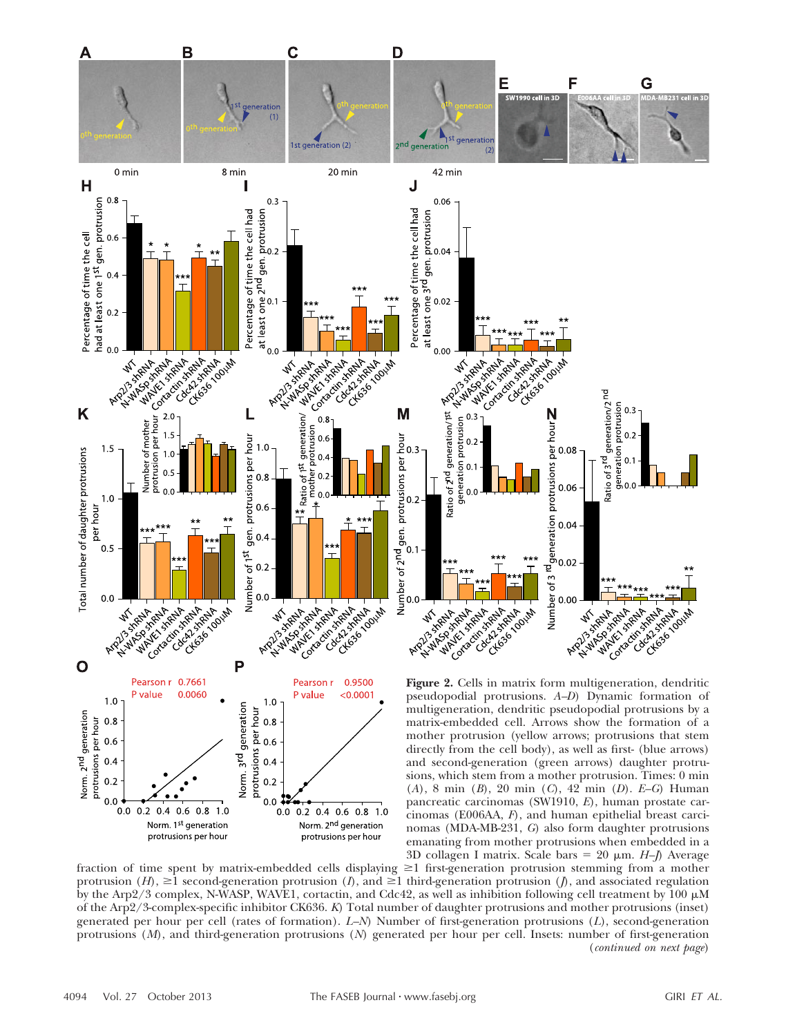

3D collagen I matrix. Scale bars  $= 20 \mu m$ . *H–I*) Average fraction of time spent by matrix-embedded cells displaying  $\geq 1$  first-generation protrusion stemming from a mother protrusion  $(H)$ ,  $\geq 1$  second-generation protrusion  $(I)$ , and  $\geq 1$  third-generation protrusion  $(I)$ , and associated regulation by the Arp2/3 complex, N-WASP, WAVE1, cortactin, and Cdc42, as well as inhibition following cell treatment by 100  $\mu$ M of the Arp2/3-complex-specific inhibitor CK636. *K*) Total number of daughter protrusions and mother protrusions (inset) generated per hour per cell (rates of formation). *L–N*) Number of first-generation protrusions (*L*), second-generation protrusions (*M*), and third-generation protrusions (*N*) generated per hour per cell. Insets: number of first-generation (*continued on next page*)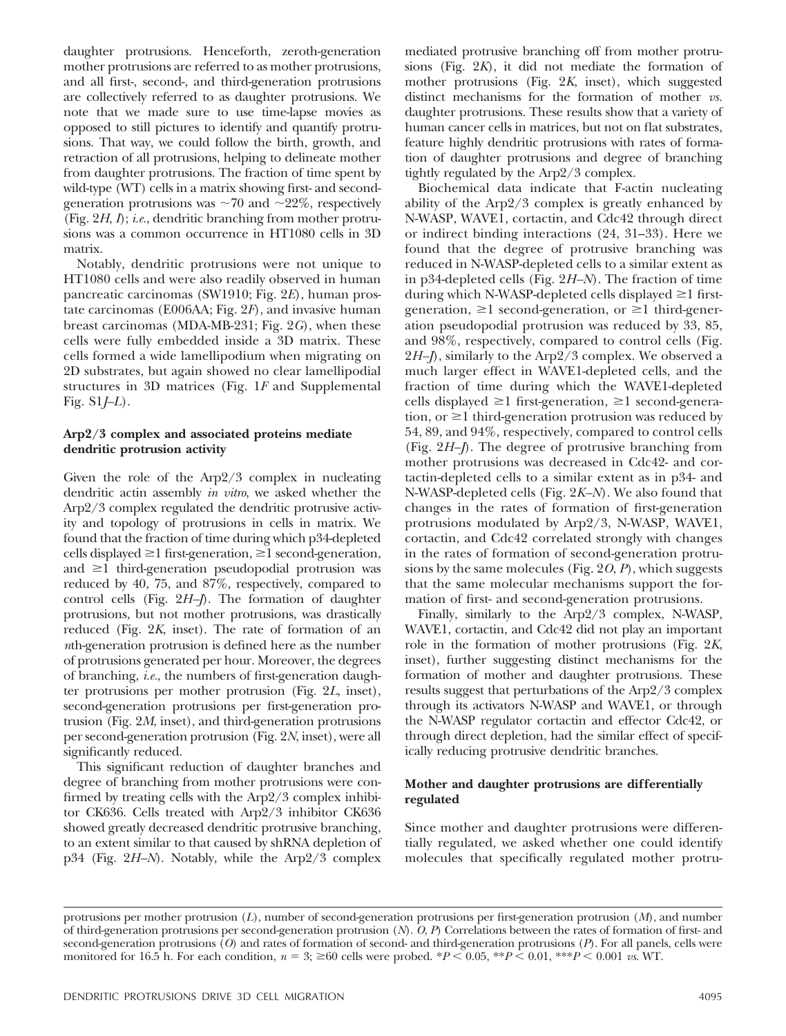daughter protrusions. Henceforth, zeroth-generation mother protrusions are referred to as mother protrusions, and all first-, second-, and third-generation protrusions are collectively referred to as daughter protrusions. We note that we made sure to use time-lapse movies as opposed to still pictures to identify and quantify protrusions. That way, we could follow the birth, growth, and retraction of all protrusions, helping to delineate mother from daughter protrusions. The fraction of time spent by wild-type (WT) cells in a matrix showing first- and secondgeneration protrusions was  $\sim 70$  and  $\sim 22\%$ , respectively (Fig. 2*H*, *I*); *i.e.*, dendritic branching from mother protrusions was a common occurrence in HT1080 cells in 3D matrix.

Notably, dendritic protrusions were not unique to HT1080 cells and were also readily observed in human pancreatic carcinomas (SW1910; Fig. 2*E*), human prostate carcinomas (E006AA; Fig. 2*F*), and invasive human breast carcinomas (MDA-MB-231; Fig. 2*G*), when these cells were fully embedded inside a 3D matrix. These cells formed a wide lamellipodium when migrating on 2D substrates, but again showed no clear lamellipodial structures in 3D matrices (Fig. 1*F* and Supplemental Fig. S1*J–L*).

## **Arp2/3 complex and associated proteins mediate dendritic protrusion activity**

Given the role of the Arp2/3 complex in nucleating dendritic actin assembly *in vitro*, we asked whether the Arp2/3 complex regulated the dendritic protrusive activity and topology of protrusions in cells in matrix. We found that the fraction of time during which p34-depleted cells displayed  $\geq 1$  first-generation,  $\geq 1$  second-generation, and  $\geq 1$  third-generation pseudopodial protrusion was reduced by 40, 75, and 87%, respectively, compared to control cells (Fig. 2*H–J*). The formation of daughter protrusions, but not mother protrusions, was drastically reduced (Fig. 2*K*, inset). The rate of formation of an *n*th-generation protrusion is defined here as the number of protrusions generated per hour. Moreover, the degrees of branching, *i.e.*, the numbers of first-generation daughter protrusions per mother protrusion (Fig. 2*L*, inset), second-generation protrusions per first-generation protrusion (Fig. 2*M*, inset), and third-generation protrusions per second-generation protrusion (Fig. 2*N*, inset), were all significantly reduced.

This significant reduction of daughter branches and degree of branching from mother protrusions were confirmed by treating cells with the Arp2/3 complex inhibitor CK636. Cells treated with Arp2/3 inhibitor CK636 showed greatly decreased dendritic protrusive branching, to an extent similar to that caused by shRNA depletion of p34 (Fig. 2*H–N*). Notably, while the Arp2/3 complex

mediated protrusive branching off from mother protrusions (Fig. 2*K*), it did not mediate the formation of mother protrusions (Fig. 2*K*, inset), which suggested distinct mechanisms for the formation of mother *vs.* daughter protrusions. These results show that a variety of human cancer cells in matrices, but not on flat substrates, feature highly dendritic protrusions with rates of formation of daughter protrusions and degree of branching tightly regulated by the Arp2/3 complex.

Biochemical data indicate that F-actin nucleating ability of the Arp2/3 complex is greatly enhanced by N-WASP, WAVE1, cortactin, and Cdc42 through direct or indirect binding interactions (24, 31–33). Here we found that the degree of protrusive branching was reduced in N-WASP-depleted cells to a similar extent as in p34-depleted cells (Fig. 2*H–N*). The fraction of time during which N-WASP-depleted cells displayed  $\geq 1$  firstgeneration,  $\geq 1$  second-generation, or  $\geq 1$  third-generation pseudopodial protrusion was reduced by 33, 85, and 98%, respectively, compared to control cells (Fig. 2*H–J*), similarly to the Arp2/3 complex. We observed a much larger effect in WAVE1-depleted cells, and the fraction of time during which the WAVE1-depleted cells displayed  $\geq 1$  first-generation,  $\geq 1$  second-generation, or  $\geq 1$  third-generation protrusion was reduced by 54, 89, and 94%, respectively, compared to control cells (Fig. 2*H–J*). The degree of protrusive branching from mother protrusions was decreased in Cdc42- and cortactin-depleted cells to a similar extent as in p34- and N-WASP-depleted cells (Fig. 2*K–N*). We also found that changes in the rates of formation of first-generation protrusions modulated by Arp2/3, N-WASP, WAVE1, cortactin, and Cdc42 correlated strongly with changes in the rates of formation of second-generation protrusions by the same molecules (Fig. 2*O*, *P*), which suggests that the same molecular mechanisms support the formation of first- and second-generation protrusions.

Finally, similarly to the Arp2/3 complex, N-WASP, WAVE1, cortactin, and Cdc42 did not play an important role in the formation of mother protrusions (Fig. 2*K*, inset), further suggesting distinct mechanisms for the formation of mother and daughter protrusions. These results suggest that perturbations of the Arp2/3 complex through its activators N-WASP and WAVE1, or through the N-WASP regulator cortactin and effector Cdc42, or through direct depletion, had the similar effect of specifically reducing protrusive dendritic branches.

# **Mother and daughter protrusions are differentially regulated**

Since mother and daughter protrusions were differentially regulated, we asked whether one could identify molecules that specifically regulated mother protru-

protrusions per mother protrusion (*L*), number of second-generation protrusions per first-generation protrusion (*M*), and number of third-generation protrusions per second-generation protrusion (*N*). *O*, *P*) Correlations between the rates of formation of first- and second-generation protrusions (*O*) and rates of formation of second- and third-generation protrusions (*P*). For all panels, cells were monitored for 16.5 h. For each condition,  $n = 3$ ;  $\geq 60$  cells were probed. \* $P \lt 0.05$ , \*\* $P \lt 0.01$ , \*\*\* $P \lt 0.001$  *vs*. WT.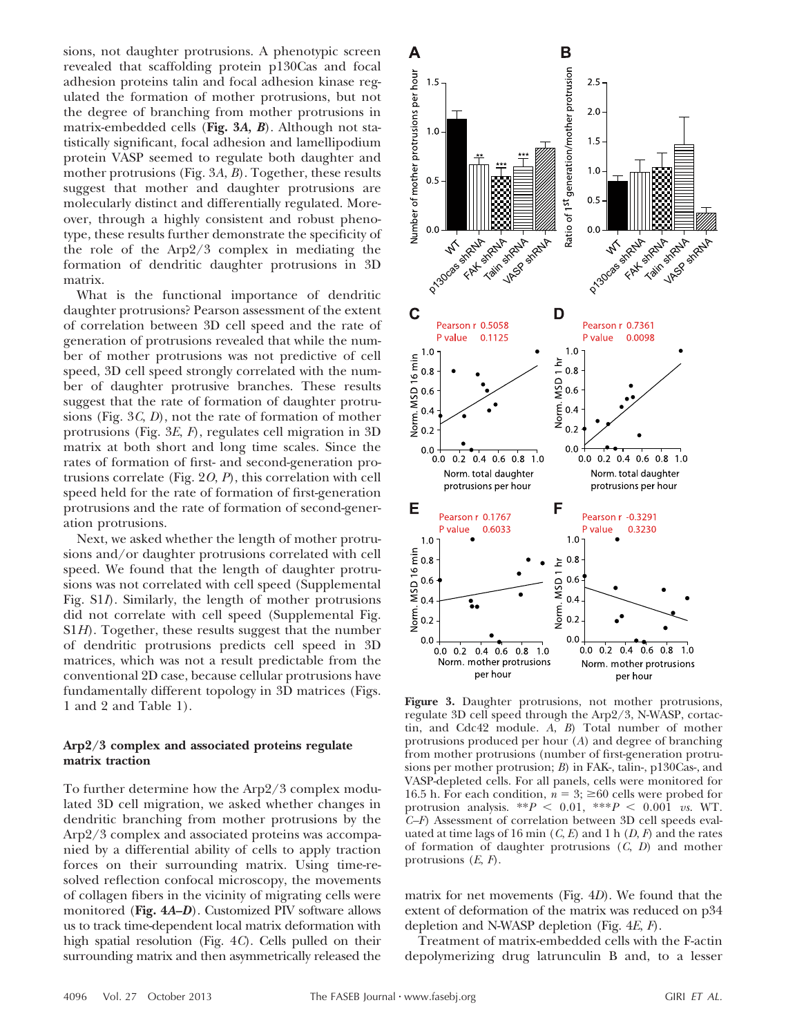sions, not daughter protrusions. A phenotypic screen revealed that scaffolding protein p130Cas and focal adhesion proteins talin and focal adhesion kinase regulated the formation of mother protrusions, but not the degree of branching from mother protrusions in matrix-embedded cells (**Fig. 3***A, B*). Although not statistically significant, focal adhesion and lamellipodium protein VASP seemed to regulate both daughter and mother protrusions (Fig. 3*A*, *B*). Together, these results suggest that mother and daughter protrusions are molecularly distinct and differentially regulated. Moreover, through a highly consistent and robust phenotype, these results further demonstrate the specificity of the role of the Arp2/3 complex in mediating the formation of dendritic daughter protrusions in 3D matrix.

What is the functional importance of dendritic daughter protrusions? Pearson assessment of the extent of correlation between 3D cell speed and the rate of generation of protrusions revealed that while the number of mother protrusions was not predictive of cell speed, 3D cell speed strongly correlated with the number of daughter protrusive branches. These results suggest that the rate of formation of daughter protrusions (Fig. 3*C*, *D*), not the rate of formation of mother protrusions (Fig. 3*E*, *F*), regulates cell migration in 3D matrix at both short and long time scales. Since the rates of formation of first- and second-generation protrusions correlate (Fig. 2*O*, *P*), this correlation with cell speed held for the rate of formation of first-generation protrusions and the rate of formation of second-generation protrusions.

Next, we asked whether the length of mother protrusions and/or daughter protrusions correlated with cell speed. We found that the length of daughter protrusions was not correlated with cell speed (Supplemental Fig. S1*I*). Similarly, the length of mother protrusions did not correlate with cell speed (Supplemental Fig. S1*H*). Together, these results suggest that the number of dendritic protrusions predicts cell speed in 3D matrices, which was not a result predictable from the conventional 2D case, because cellular protrusions have fundamentally different topology in 3D matrices (Figs. 1 and 2 and Table 1).

# **Arp2/3 complex and associated proteins regulate matrix traction**

To further determine how the Arp2/3 complex modulated 3D cell migration, we asked whether changes in dendritic branching from mother protrusions by the Arp2/3 complex and associated proteins was accompanied by a differential ability of cells to apply traction forces on their surrounding matrix. Using time-resolved reflection confocal microscopy, the movements of collagen fibers in the vicinity of migrating cells were monitored (**Fig. 4***A–D*). Customized PIV software allows us to track time-dependent local matrix deformation with high spatial resolution (Fig. 4*C*). Cells pulled on their surrounding matrix and then asymmetrically released the



**Figure 3.** Daughter protrusions, not mother protrusions, regulate 3D cell speed through the Arp2/3, N-WASP, cortactin, and Cdc42 module. *A*, *B*) Total number of mother protrusions produced per hour (*A*) and degree of branching from mother protrusions (number of first-generation protrusions per mother protrusion; *B*) in FAK-, talin-, p130Cas-, and VASP-depleted cells. For all panels, cells were monitored for 16.5 h. For each condition,  $n = 3$ ;  $\geq 60$  cells were probed for protrusion analysis.  $**P < 0.01$ ,  $**P < 0.001$  *vs*. WT. *C–F*) Assessment of correlation between 3D cell speeds evaluated at time lags of 16 min  $(C, E)$  and 1 h  $(D, F)$  and the rates of formation of daughter protrusions (*C*, *D*) and mother protrusions (*E*, *F*).

matrix for net movements (Fig. 4*D*). We found that the extent of deformation of the matrix was reduced on p34 depletion and N-WASP depletion (Fig. 4*E*, *F*).

Treatment of matrix-embedded cells with the F-actin depolymerizing drug latrunculin B and, to a lesser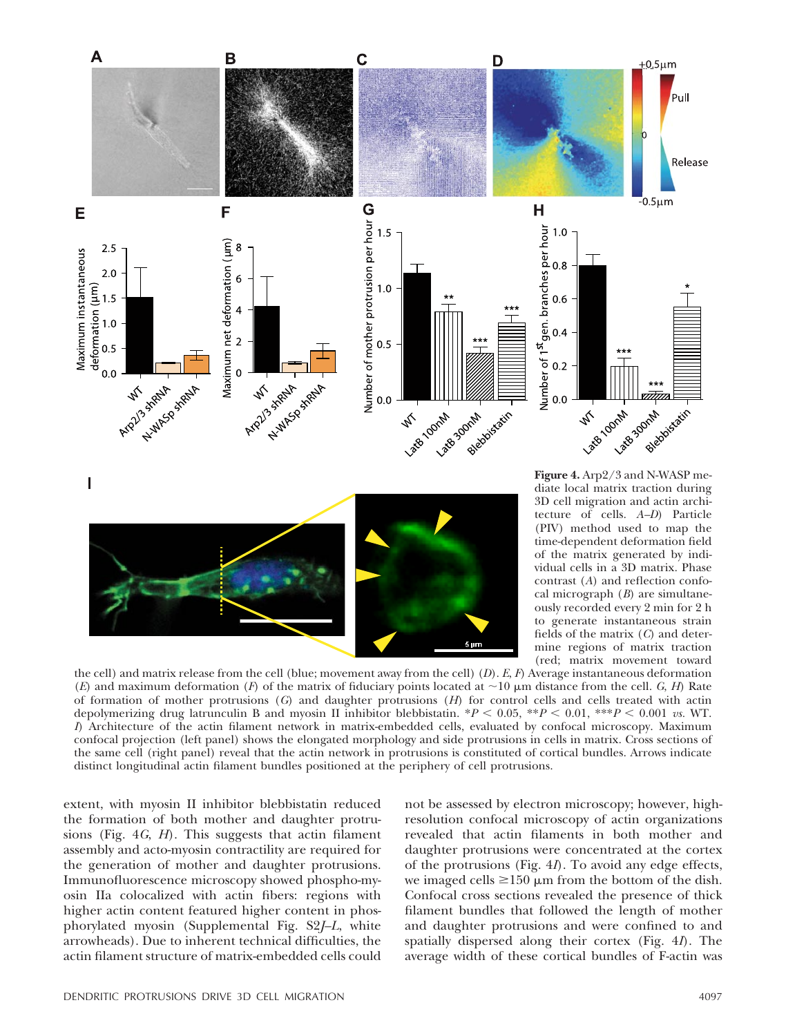

the cell) and matrix release from the cell (blue; movement away from the cell) (*D*). *E*, *F*) Average instantaneous deformation (*E*) and maximum deformation (*F*) of the matrix of fiduciary points located at  $\sim$ 10  $\mu$ m distance from the cell. *G*, *H*) Rate of formation of mother protrusions (*G*) and daughter protrusions (*H*) for control cells and cells treated with actin depolymerizing drug latrunculin B and myosin II inhibitor blebbistatin. \**P* 0.05, \*\**P* 0.01, \*\*\**P* 0.001 *vs.* WT. *I*) Architecture of the actin filament network in matrix-embedded cells, evaluated by confocal microscopy. Maximum confocal projection (left panel) shows the elongated morphology and side protrusions in cells in matrix. Cross sections of the same cell (right panel) reveal that the actin network in protrusions is constituted of cortical bundles. Arrows indicate distinct longitudinal actin filament bundles positioned at the periphery of cell protrusions.

extent, with myosin II inhibitor blebbistatin reduced the formation of both mother and daughter protrusions (Fig. 4*G*, *H*). This suggests that actin filament assembly and acto-myosin contractility are required for the generation of mother and daughter protrusions. Immunofluorescence microscopy showed phospho-myosin IIa colocalized with actin fibers: regions with higher actin content featured higher content in phosphorylated myosin (Supplemental Fig. S2*J–L*, white arrowheads). Due to inherent technical difficulties, the actin filament structure of matrix-embedded cells could

not be assessed by electron microscopy; however, highresolution confocal microscopy of actin organizations revealed that actin filaments in both mother and daughter protrusions were concentrated at the cortex of the protrusions (Fig. 4*I*). To avoid any edge effects, we imaged cells  $\geq 150 \mu m$  from the bottom of the dish. Confocal cross sections revealed the presence of thick filament bundles that followed the length of mother and daughter protrusions and were confined to and spatially dispersed along their cortex (Fig. 4*I*). The average width of these cortical bundles of F-actin was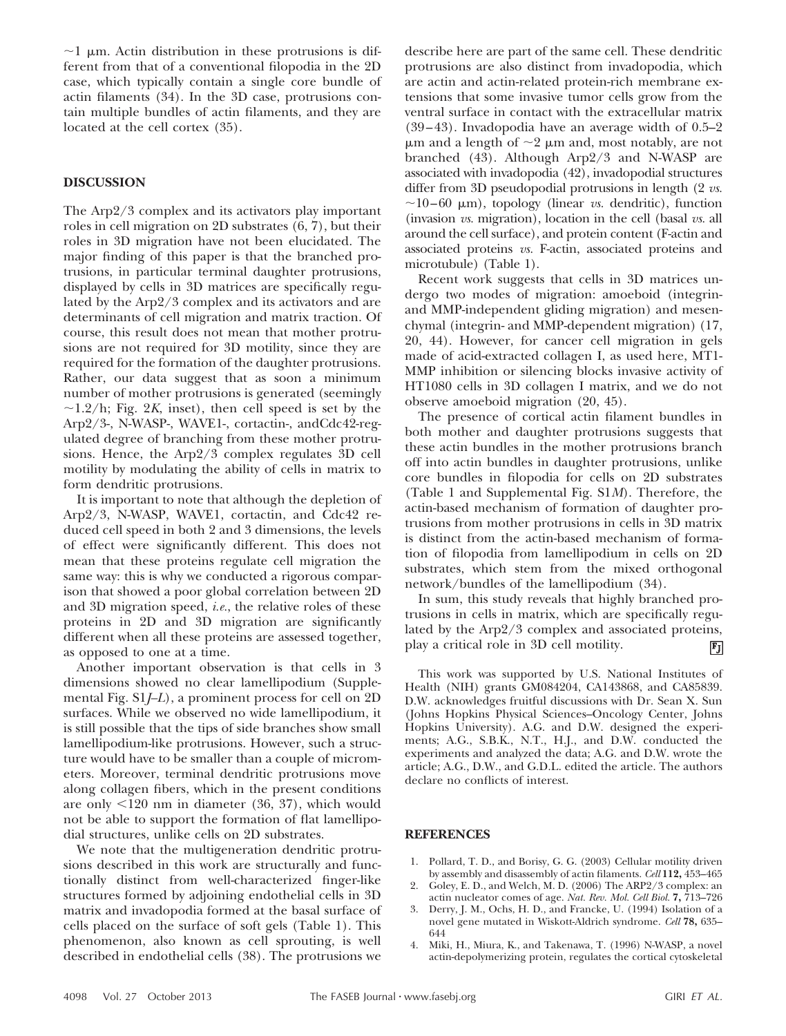$\sim$ 1 µm. Actin distribution in these protrusions is different from that of a conventional filopodia in the 2D case, which typically contain a single core bundle of actin filaments (34). In the 3D case, protrusions contain multiple bundles of actin filaments, and they are located at the cell cortex (35).

## **DISCUSSION**

The Arp2/3 complex and its activators play important roles in cell migration on 2D substrates (6, 7), but their roles in 3D migration have not been elucidated. The major finding of this paper is that the branched protrusions, in particular terminal daughter protrusions, displayed by cells in 3D matrices are specifically regulated by the Arp2/3 complex and its activators and are determinants of cell migration and matrix traction. Of course, this result does not mean that mother protrusions are not required for 3D motility, since they are required for the formation of the daughter protrusions. Rather, our data suggest that as soon a minimum number of mother protrusions is generated (seemingly  $\sim$ 1.2/h; Fig. 2*K*, inset), then cell speed is set by the Arp2/3-, N-WASP-, WAVE1-, cortactin-, andCdc42-regulated degree of branching from these mother protrusions. Hence, the Arp2/3 complex regulates 3D cell motility by modulating the ability of cells in matrix to form dendritic protrusions.

It is important to note that although the depletion of Arp2/3, N-WASP, WAVE1, cortactin, and Cdc42 reduced cell speed in both 2 and 3 dimensions, the levels of effect were significantly different. This does not mean that these proteins regulate cell migration the same way: this is why we conducted a rigorous comparison that showed a poor global correlation between 2D and 3D migration speed, *i.e.*, the relative roles of these proteins in 2D and 3D migration are significantly different when all these proteins are assessed together, as opposed to one at a time.

Another important observation is that cells in 3 dimensions showed no clear lamellipodium (Supplemental Fig. S1*J–L*), a prominent process for cell on 2D surfaces. While we observed no wide lamellipodium, it is still possible that the tips of side branches show small lamellipodium-like protrusions. However, such a structure would have to be smaller than a couple of micrometers. Moreover, terminal dendritic protrusions move along collagen fibers, which in the present conditions are only  $\leq 120$  nm in diameter (36, 37), which would not be able to support the formation of flat lamellipodial structures, unlike cells on 2D substrates.

We note that the multigeneration dendritic protrusions described in this work are structurally and functionally distinct from well-characterized finger-like structures formed by adjoining endothelial cells in 3D matrix and invadopodia formed at the basal surface of cells placed on the surface of soft gels (Table 1). This phenomenon, also known as cell sprouting, is well described in endothelial cells (38). The protrusions we describe here are part of the same cell. These dendritic protrusions are also distinct from invadopodia, which are actin and actin-related protein-rich membrane extensions that some invasive tumor cells grow from the ventral surface in contact with the extracellular matrix  $(39-43)$ . Invadopodia have an average width of  $0.5-2$  $\mu$ m and a length of  $\sim$ 2  $\mu$ m and, most notably, are not branched (43). Although Arp2/3 and N-WASP are associated with invadopodia (42), invadopodial structures differ from 3D pseudopodial protrusions in length (2 *vs.*  $\sim$ 10–60  $\mu$ m), topology (linear *vs.* dendritic), function (invasion *vs.* migration), location in the cell (basal *vs.* all around the cell surface), and protein content (F-actin and associated proteins *vs.* F-actin, associated proteins and microtubule) (Table 1).

Recent work suggests that cells in 3D matrices undergo two modes of migration: amoeboid (integrinand MMP-independent gliding migration) and mesenchymal (integrin- and MMP-dependent migration) (17, 20, 44). However, for cancer cell migration in gels made of acid-extracted collagen I, as used here, MT1- MMP inhibition or silencing blocks invasive activity of HT1080 cells in 3D collagen I matrix, and we do not observe amoeboid migration (20, 45).

The presence of cortical actin filament bundles in both mother and daughter protrusions suggests that these actin bundles in the mother protrusions branch off into actin bundles in daughter protrusions, unlike core bundles in filopodia for cells on 2D substrates (Table 1 and Supplemental Fig. S1*M*). Therefore, the actin-based mechanism of formation of daughter protrusions from mother protrusions in cells in 3D matrix is distinct from the actin-based mechanism of formation of filopodia from lamellipodium in cells on 2D substrates, which stem from the mixed orthogonal network/bundles of the lamellipodium (34).

In sum, this study reveals that highly branched protrusions in cells in matrix, which are specifically regulated by the Arp2/3 complex and associated proteins, play a critical role in 3D cell motility.  $F_J$ 

This work was supported by U.S. National Institutes of Health (NIH) grants GM084204, CA143868, and CA85839. D.W. acknowledges fruitful discussions with Dr. Sean X. Sun (Johns Hopkins Physical Sciences–Oncology Center, Johns Hopkins University). A.G. and D.W. designed the experiments; A.G., S.B.K., N.T., H.J., and D.W. conducted the experiments and analyzed the data; A.G. and D.W. wrote the article; A.G., D.W., and G.D.L. edited the article. The authors declare no conflicts of interest.

#### **REFERENCES**

- 1. Pollard, T. D., and Borisy, G. G. (2003) Cellular motility driven by assembly and disassembly of actin filaments. *Cell* **112,** 453–465
- 2. Goley, E. D., and Welch, M. D. (2006) The ARP2/3 complex: an actin nucleator comes of age. *Nat. Rev. Mol. Cell Biol.* **7,** 713–726
- 3. Derry, J. M., Ochs, H. D., and Francke, U. (1994) Isolation of a novel gene mutated in Wiskott-Aldrich syndrome. *Cell* **78,** 635– 644
- 4. Miki, H., Miura, K., and Takenawa, T. (1996) N-WASP, a novel actin-depolymerizing protein, regulates the cortical cytoskeletal